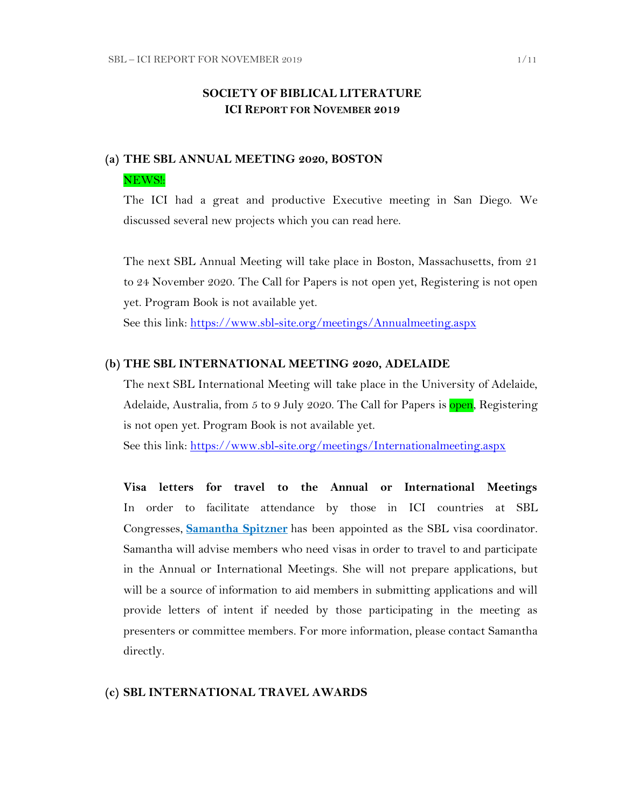## **SOCIETY OF BIBLICAL LITERATURE ICI REPORT FOR NOVEMBER 2019**

# **(a) THE SBL ANNUAL MEETING 2020, BOSTON** NEWS!:

The ICI had a great and productive Executive meeting in San Diego. We discussed several new projects which you can read here.

The next SBL Annual Meeting will take place in Boston, Massachusetts, from 21 to 24 November 2020. The Call for Papers is not open yet, Registering is not open yet. Program Book is not available yet.

See this link:<https://www.sbl-site.org/meetings/Annualmeeting.aspx>

#### **(b) THE SBL INTERNATIONAL MEETING 2020, ADELAIDE**

The next SBL International Meeting will take place in the University of Adelaide, Adelaide, Australia, from 5 to 9 July 2020. The Call for Papers is open, Registering is not open yet. Program Book is not available yet.

See this link:<https://www.sbl-site.org/meetings/Internationalmeeting.aspx>

**Visa letters for travel to the Annual or International Meetings** In order to facilitate attendance by those in ICI countries at SBL Congresses, **[Samantha Spitzner](mailto:samantha.spitzner@sbl-site.org)** has been appointed as the SBL visa coordinator. Samantha will advise members who need visas in order to travel to and participate in the Annual or International Meetings. She will not prepare applications, but will be a source of information to aid members in submitting applications and will provide letters of intent if needed by those participating in the meeting as presenters or committee members. For more information, please contact Samantha directly.

#### **(c) SBL INTERNATIONAL TRAVEL AWARDS**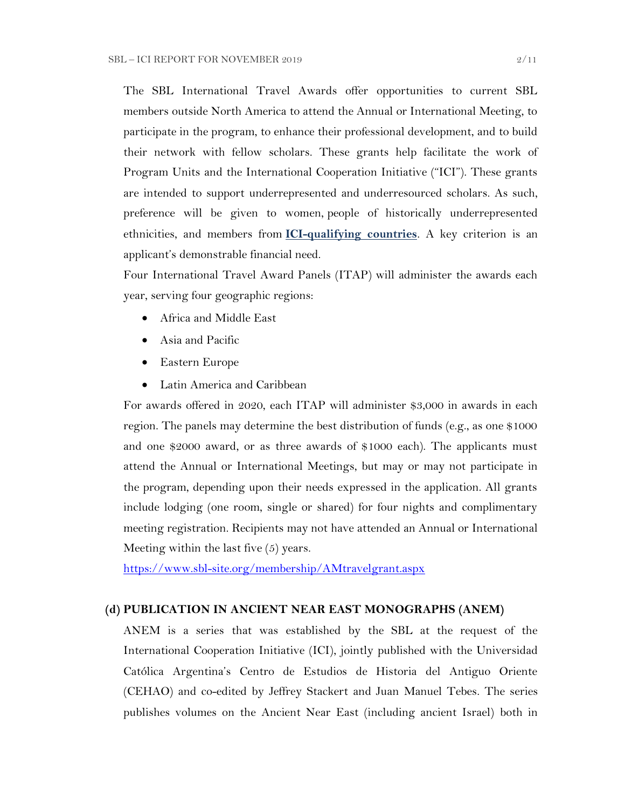The SBL International Travel Awards offer opportunities to current SBL members outside North America to attend the Annual or International Meeting, to participate in the program, to enhance their professional development, and to build their network with fellow scholars. These grants help facilitate the work of Program Units and the International Cooperation Initiative ("ICI"). These grants are intended to support underrepresented and underresourced scholars. As such, preference will be given to women, people of historically underrepresented ethnicities, and members from **[ICI-qualifying countries](https://www.sbl-site.org/assets/pdfs/ICIcountries.pdf)**. A key criterion is an applicant's demonstrable financial need.

Four International Travel Award Panels (ITAP) will administer the awards each year, serving four geographic regions:

- Africa and Middle East
- Asia and Pacific
- Eastern Europe
- Latin America and Caribbean

For awards offered in 2020, each ITAP will administer \$3,000 in awards in each region. The panels may determine the best distribution of funds (e.g., as one \$1000 and one \$2000 award, or as three awards of \$1000 each). The applicants must attend the Annual or International Meetings, but may or may not participate in the program, depending upon their needs expressed in the application. All grants include lodging (one room, single or shared) for four nights and complimentary meeting registration. Recipients may not have attended an Annual or International Meeting within the last five (5) years.

<https://www.sbl-site.org/membership/AMtravelgrant.aspx>

#### **(d) PUBLICATION IN [ANCIENT NEAR EAST MONOGRAPHS](http://www.sbl-site.org/publications/Books_ANEmonographs.aspx) (ANEM)**

ANEM is a series that was established by the SBL at the request of the International Cooperation Initiative (ICI), jointly published with the Universidad Católica Argentina's Centro de Estudios de Historia del Antiguo Oriente (CEHAO) and co-edited by Jeffrey Stackert and Juan Manuel Tebes. The series publishes volumes on the Ancient Near East (including ancient Israel) both in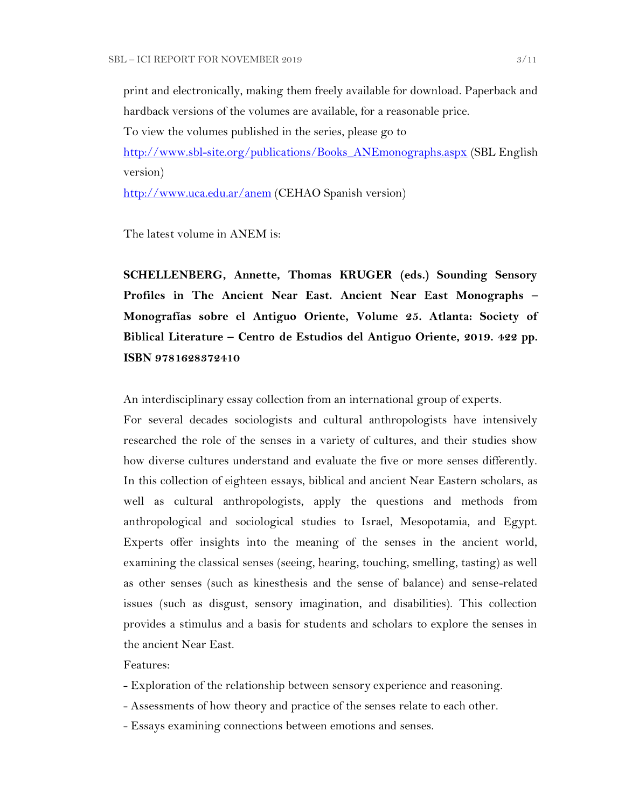print and electronically, making them freely available for download. Paperback and hardback versions of the volumes are available, for a reasonable price.

To view the volumes published in the series, please go to

[http://www.sbl-site.org/publications/Books\\_ANEmonographs.aspx](http://www.sbl-site.org/publications/Books_ANEmonographs.aspx) (SBL English version)

<http://www.uca.edu.ar/anem> (CEHAO Spanish version)

The latest volume in ANEM is:

**SCHELLENBERG, Annette, Thomas KRUGER (eds.) Sounding Sensory Profiles in The Ancient Near East. Ancient Near East Monographs – Monografías sobre el Antiguo Oriente, Volume 25. Atlanta: Society of Biblical Literature – Centro de Estudios del Antiguo Oriente, 2019. 422 pp. ISBN 9781628372410**

An interdisciplinary essay collection from an international group of experts.

For several decades sociologists and cultural anthropologists have intensively researched the role of the senses in a variety of cultures, and their studies show how diverse cultures understand and evaluate the five or more senses differently. In this collection of eighteen essays, biblical and ancient Near Eastern scholars, as well as cultural anthropologists, apply the questions and methods from anthropological and sociological studies to Israel, Mesopotamia, and Egypt. Experts offer insights into the meaning of the senses in the ancient world, examining the classical senses (seeing, hearing, touching, smelling, tasting) as well as other senses (such as kinesthesis and the sense of balance) and sense-related issues (such as disgust, sensory imagination, and disabilities). This collection provides a stimulus and a basis for students and scholars to explore the senses in the ancient Near East.

#### Features:

- Exploration of the relationship between sensory experience and reasoning.
- Assessments of how theory and practice of the senses relate to each other.
- Essays examining connections between emotions and senses.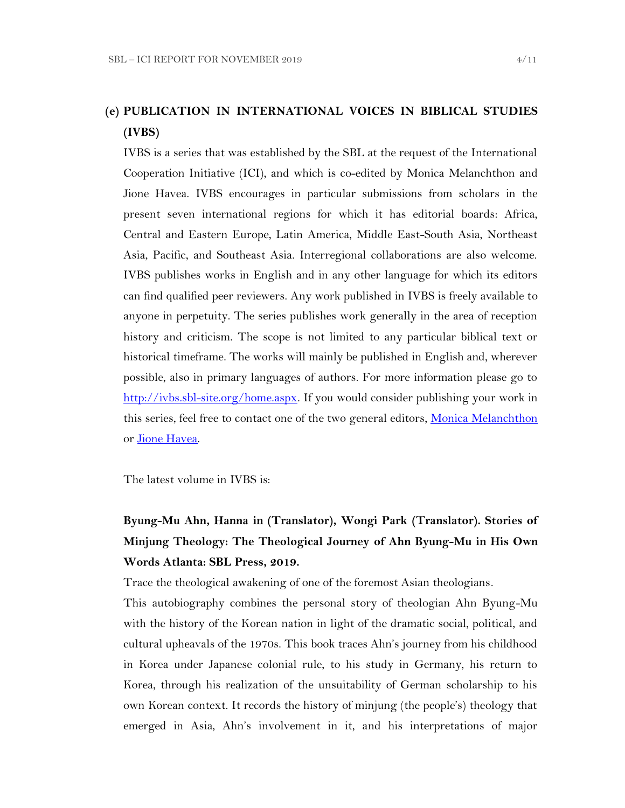# **(e) PUBLICATION IN INTERNATIONAL VOICES IN BIBLICAL STUDIES (IVBS)**

IVBS is a series that was established by the SBL at the request of the International Cooperation Initiative (ICI), and which is co-edited by Monica Melanchthon and Jione Havea. IVBS encourages in particular submissions from scholars in the present seven international regions for which it has editorial boards: Africa, Central and Eastern Europe, Latin America, Middle East-South Asia, Northeast Asia, Pacific, and Southeast Asia. Interregional collaborations are also welcome. IVBS publishes works in English and in any other language for which its editors can find qualified peer reviewers. Any work published in IVBS is freely available to anyone in perpetuity. The series publishes work generally in the area of reception history and criticism. The scope is not limited to any particular biblical text or historical timeframe. The works will mainly be published in English and, wherever possible, also in primary languages of authors. For more information please go to [http://ivbs.sbl-site.org/home.aspx.](http://ivbs.sbl-site.org/home.aspx) If you would consider publishing your work in this series, feel free to contact one of the two general editors, [Monica Melanchthon](mailto:ivbs2010@gmail.com) or [Jione Havea.](mailto:jioneh@nsw.uca.org.au)

The latest volume in IVBS is:

# **Byung-Mu Ahn, Hanna in (Translator), Wongi Park (Translator). Stories of Minjung Theology: The Theological Journey of Ahn Byung-Mu in His Own Words Atlanta: SBL Press, 2019.**

Trace the theological awakening of one of the foremost Asian theologians.

This autobiography combines the personal story of theologian Ahn Byung-Mu with the history of the Korean nation in light of the dramatic social, political, and cultural upheavals of the 1970s. This book traces Ahn's journey from his childhood in Korea under Japanese colonial rule, to his study in Germany, his return to Korea, through his realization of the unsuitability of German scholarship to his own Korean context. It records the history of minjung (the people's) theology that emerged in Asia, Ahn's involvement in it, and his interpretations of major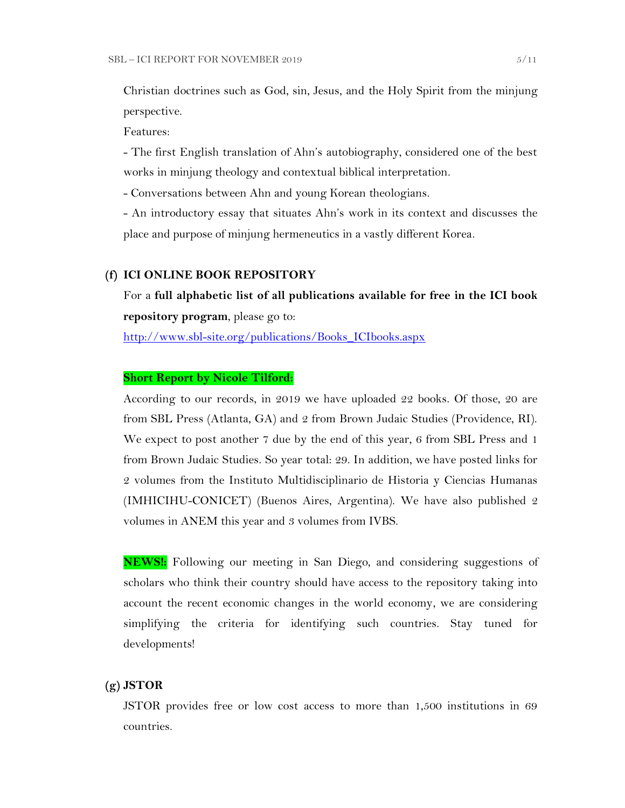Christian doctrines such as God, sin, Jesus, and the Holy Spirit from the minjung perspective.

Features:

- The first English translation of Ahn's autobiography, considered one of the best works in minjung theology and contextual biblical interpretation.

- Conversations between Ahn and young Korean theologians.

- An introductory essay that situates Ahn's work in its context and discusses the place and purpose of minjung hermeneutics in a vastly different Korea.

#### **(f) ICI ONLINE BOOK REPOSITORY**

For a **full alphabetic list of all publications available for free in the ICI book repository program**, please go to:

[http://www.sbl-site.org/publications/Books\\_ICIbooks.aspx](http://www.sbl-site.org/publications/Books_ICIbooks.aspx)

#### **Short Report by Nicole Tilford:**

According to our records, in 2019 we have uploaded 22 books. Of those, 20 are from SBL Press (Atlanta, GA) and 2 from Brown Judaic Studies (Providence, RI). We expect to post another 7 due by the end of this year, 6 from SBL Press and 1 from Brown Judaic Studies. So year total: 29. In addition, we have posted links for 2 volumes from the Instituto Multidisciplinario de Historia y Ciencias Humanas (IMHICIHU-CONICET) (Buenos Aires, Argentina). We have also published 2 volumes in ANEM this year and 3 volumes from IVBS.

**NEWS!:** Following our meeting in San Diego, and considering suggestions of scholars who think their country should have access to the repository taking into account the recent economic changes in the world economy, we are considering simplifying the criteria for identifying such countries. Stay tuned for developments!

### **(g) JSTOR**

JSTOR provides free or low cost access to more than 1,500 institutions in 69 countries.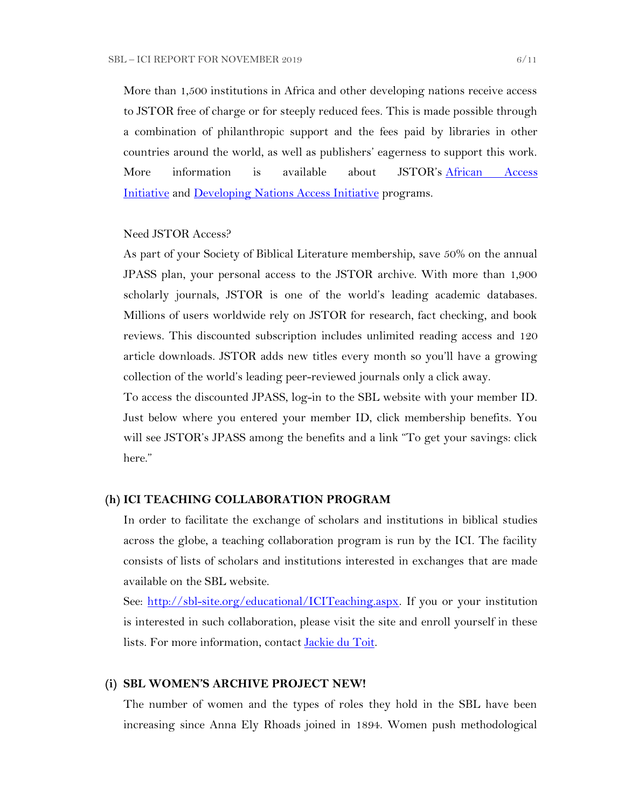More than 1,500 institutions in Africa and other developing nations receive access to JSTOR free of charge or for steeply reduced fees. This is made possible through a combination of philanthropic support and the fees paid by libraries in other countries around the world, as well as publishers' eagerness to support this work. More information is available about JSTOR's [African Access](http://about.jstor.org/libraries/african-access-initiative)  [Initiative](http://about.jstor.org/libraries/african-access-initiative) and [Developing Nations Access Initiative](http://about.jstor.org/libraries/developing-nations-access-initiative) programs.

#### Need JSTOR Access?

As part of your Society of Biblical Literature membership, save 50% on the annual JPASS plan, your personal access to the JSTOR archive. With more than 1,900 scholarly journals, JSTOR is one of the world's leading academic databases. Millions of users worldwide rely on JSTOR for research, fact checking, and book reviews. This discounted subscription includes unlimited reading access and 120 article downloads. JSTOR adds new titles every month so you'll have a growing collection of the world's leading peer-reviewed journals only a click away.

To access the discounted JPASS, log-in to the SBL website with your member ID. Just below where you entered your member ID, click membership benefits. You will see JSTOR's JPASS among the benefits and a link "To get your savings: click here."

#### **(h) ICI TEACHING COLLABORATION PROGRAM**

In order to facilitate the exchange of scholars and institutions in biblical studies across the globe, a teaching collaboration program is run by the ICI. The facility consists of lists of scholars and institutions interested in exchanges that are made available on the SBL website.

See: [http://sbl-site.org/educational/ICITeaching.aspx.](http://sbl-site.org/educational/ICITeaching.aspx) If you or your institution is interested in such collaboration, please visit the site and enroll yourself in these lists. For more information, contact [Jackie du Toit.](mailto:dutoitjs@ufs.ac.za)

#### **(i) SBL WOMEN'S ARCHIVE PROJECT NEW!**

The number of women and the types of roles they hold in the SBL have been increasing since Anna Ely Rhoads joined in 1894. Women push methodological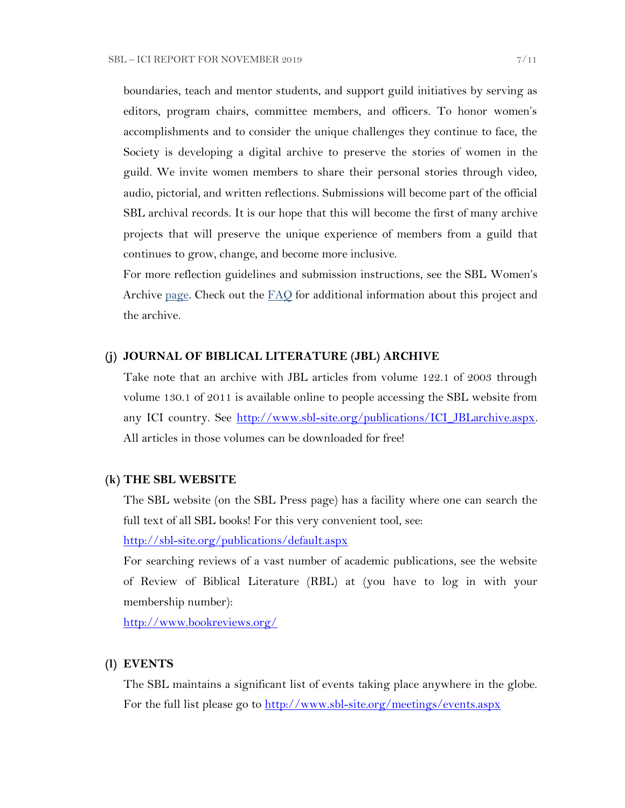boundaries, teach and mentor students, and support guild initiatives by serving as editors, program chairs, committee members, and officers. To honor women's accomplishments and to consider the unique challenges they continue to face, the Society is developing a digital archive to preserve the stories of women in the guild. We invite women members to share their personal stories through video, audio, pictorial, and written reflections. Submissions will become part of the official SBL archival records. It is our hope that this will become the first of many archive projects that will preserve the unique experience of members from a guild that continues to grow, change, and become more inclusive.

For more reflection guidelines and submission instructions, see the SBL Women's Archive <u>page</u>. Check out the  $FAO$  for additional information about this project and the archive.

#### **(j) JOURNAL OF BIBLICAL LITERATURE (JBL) ARCHIVE**

Take note that an archive with JBL articles from volume 122.1 of 2003 through volume 130.1 of 2011 is available online to people accessing the SBL website from any ICI country. See [http://www.sbl-site.org/publications/ICI\\_JBLarchive.aspx.](http://www.sbl-site.org/publications/ICI_JBLarchive.aspx)  All articles in those volumes can be downloaded for free!

#### **(k) THE SBL WEBSITE**

The SBL website (on the SBL Press page) has a facility where one can search the full text of all SBL books! For this very convenient tool, see:

<http://sbl-site.org/publications/default.aspx>

For searching reviews of a vast number of academic publications, see the website of Review of Biblical Literature (RBL) at (you have to log in with your membership number):

<http://www.bookreviews.org/>

#### **(l) EVENTS**

The SBL maintains a significant list of events taking place anywhere in the globe. For the full list please go to<http://www.sbl-site.org/meetings/events.aspx>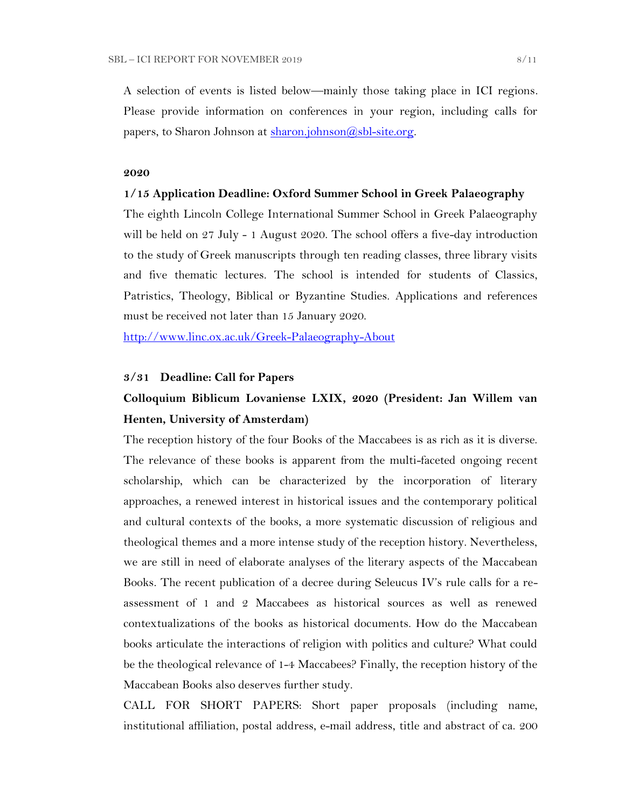A selection of events is listed below—mainly those taking place in ICI regions. Please provide information on conferences in your region, including calls for papers, to Sharon Johnson at  $\frac{\text{sharon.}(\partial s\text{bl-site.} \text{org.}}{\text{gl.}(\partial s\text{bl-site.} \text{org.}})$ 

#### **2020**

#### **1/15 Application Deadline: Oxford Summer School in Greek Palaeography**

The eighth Lincoln College International Summer School in Greek Palaeography will be held on 27 July - 1 August 2020. The school offers a five-day introduction to the study of Greek manuscripts through ten reading classes, three library visits and five thematic lectures. The school is intended for students of Classics, Patristics, Theology, Biblical or Byzantine Studies. Applications and references must be received not later than 15 January 2020.

<http://www.linc.ox.ac.uk/Greek-Palaeography-About>

#### **3/31 Deadline: Call for Papers**

# **Colloquium Biblicum Lovaniense LXIX, 2020 (President: Jan Willem van Henten, University of Amsterdam)**

The reception history of the four Books of the Maccabees is as rich as it is diverse. The relevance of these books is apparent from the multi-faceted ongoing recent scholarship, which can be characterized by the incorporation of literary approaches, a renewed interest in historical issues and the contemporary political and cultural contexts of the books, a more systematic discussion of religious and theological themes and a more intense study of the reception history. Nevertheless, we are still in need of elaborate analyses of the literary aspects of the Maccabean Books. The recent publication of a decree during Seleucus IV's rule calls for a reassessment of 1 and 2 Maccabees as historical sources as well as renewed contextualizations of the books as historical documents. How do the Maccabean books articulate the interactions of religion with politics and culture? What could be the theological relevance of 1-4 Maccabees? Finally, the reception history of the Maccabean Books also deserves further study.

CALL FOR SHORT PAPERS: Short paper proposals (including name, institutional affiliation, postal address, e-mail address, title and abstract of ca. 200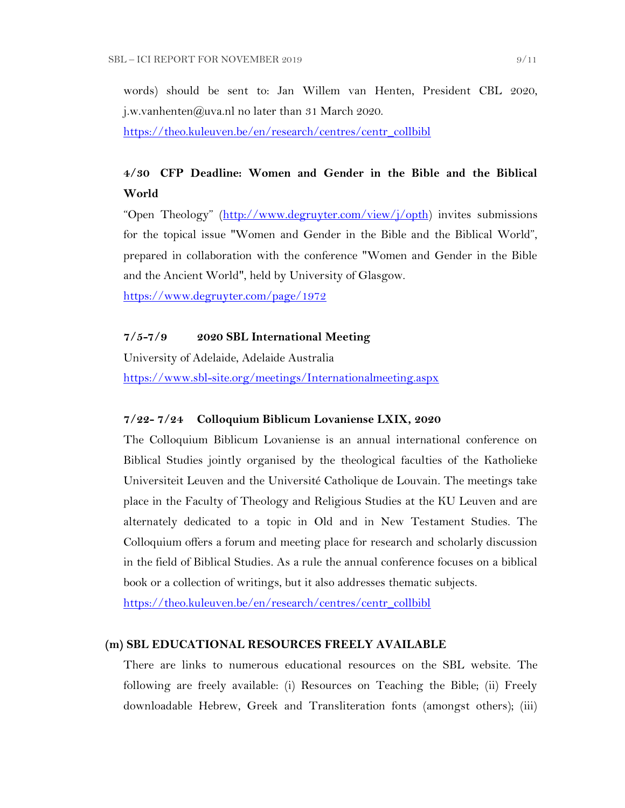words) should be sent to: Jan Willem van Henten, President CBL 2020, j.w.vanhenten@uva.nl no later than 31 March 2020.

[https://theo.kuleuven.be/en/research/centres/centr\\_collbibl](https://theo.kuleuven.be/en/research/centres/centr_collbibl)

# **4/30 CFP Deadline: Women and Gender in the Bible and the Biblical World**

"Open Theology" ([http://www.degruyter.com/view/j/opth\)](http://www.degruyter.com/view/j/opth) invites submissions for the topical issue "Women and Gender in the Bible and the Biblical World", prepared in collaboration with the conference "Women and Gender in the Bible and the Ancient World", held by University of Glasgow.

<https://www.degruyter.com/page/1972>

## **7/5-7/9 2020 SBL International Meeting**

University of Adelaide, Adelaide Australia

<https://www.sbl-site.org/meetings/Internationalmeeting.aspx>

#### **7/22- 7/24 Colloquium Biblicum Lovaniense LXIX, 2020**

The Colloquium Biblicum Lovaniense is an annual international conference on Biblical Studies jointly organised by the theological faculties of the Katholieke Universiteit Leuven and the Université Catholique de Louvain. The meetings take place in the Faculty of Theology and Religious Studies at the KU Leuven and are alternately dedicated to a topic in Old and in New Testament Studies. The Colloquium offers a forum and meeting place for research and scholarly discussion in the field of Biblical Studies. As a rule the annual conference focuses on a biblical book or a collection of writings, but it also addresses thematic subjects.

[https://theo.kuleuven.be/en/research/centres/centr\\_collbibl](https://theo.kuleuven.be/en/research/centres/centr_collbibl)

#### **(m) SBL EDUCATIONAL RESOURCES FREELY AVAILABLE**

There are links to numerous educational resources on the SBL website. The following are freely available: (i) Resources on Teaching the Bible; (ii) Freely downloadable Hebrew, Greek and Transliteration fonts (amongst others); (iii)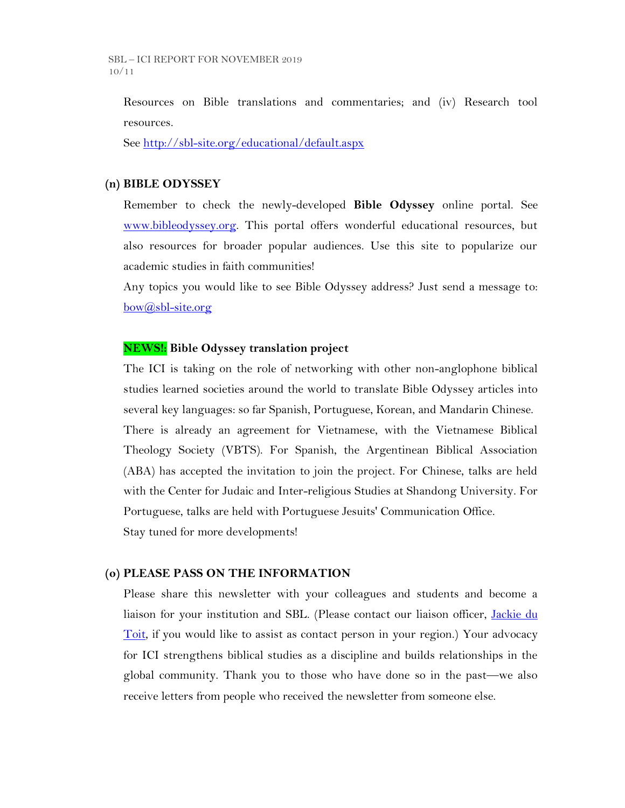Resources on Bible translations and commentaries; and (iv) Research tool resources.

See<http://sbl-site.org/educational/default.aspx>

### **(n) BIBLE ODYSSEY**

Remember to check the newly-developed **Bible Odyssey** online portal. See [www.bibleodyssey.org.](http://www.bibleodyssey.org/) This portal offers wonderful educational resources, but also resources for broader popular audiences. Use this site to popularize our academic studies in faith communities!

Any topics you would like to see Bible Odyssey address? Just send a message to: [bow@sbl-site.org](mailto:bow@sbl-site.org)

## **NEWS!: Bible Odyssey translation project**

The ICI is taking on the role of networking with other non-anglophone biblical studies learned societies around the world to translate Bible Odyssey articles into several key languages: so far Spanish, Portuguese, Korean, and Mandarin Chinese. There is already an agreement for Vietnamese, with the Vietnamese Biblical Theology Society (VBTS). For Spanish, the Argentinean Biblical Association (ABA) has accepted the invitation to join the project. For Chinese, talks are held with the Center for Judaic and Inter-religious Studies at Shandong University. For Portuguese, talks are held with Portuguese Jesuits' Communication Office. Stay tuned for more developments!

#### **(o) PLEASE PASS ON THE INFORMATION**

Please share this newsletter with your colleagues and students and become a liaison for your institution and SBL. (Please contact our liaison officer, *Jackie du* [Toit,](mailto:dutoitjs@ufs.ac.za) if you would like to assist as contact person in your region.) Your advocacy for ICI strengthens biblical studies as a discipline and builds relationships in the global community. Thank you to those who have done so in the past—we also receive letters from people who received the newsletter from someone else.